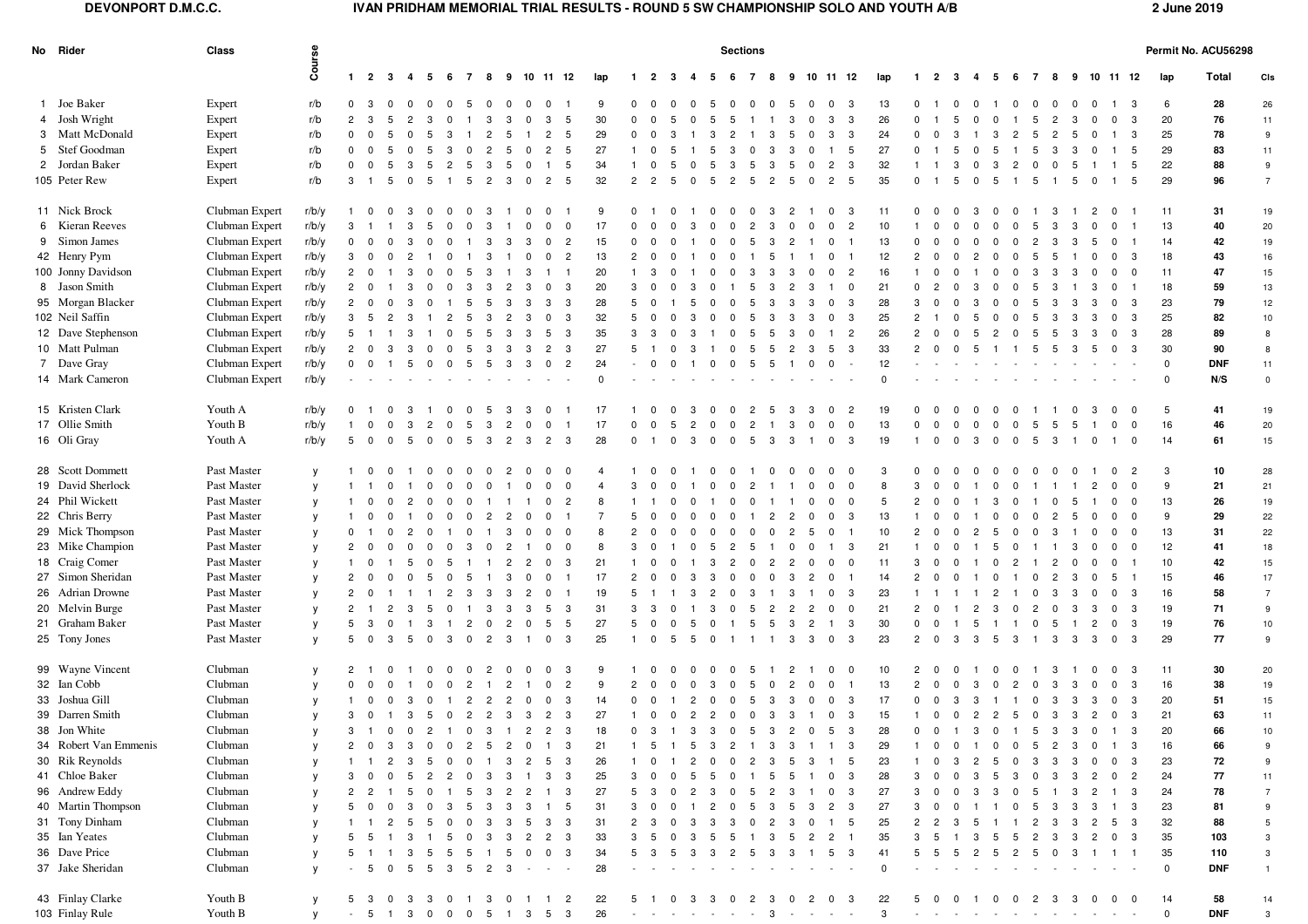## **DEVONPORT D.M.C.C. IVAN PRIDHAM MEMORIAL TRIAL RESULTS - ROUND 5 SW CHAMPIONSHIP SOLO AND YOUTH A/B 2 June 2019**

| No Rider              | Class          | Course       | <b>Sections</b> |                |                |                          |                    |                |                |                                |                 |                           |                |                |                |                         |                    |                         |                |                |                | Permit No. ACU56298 |                                |          |                |                     |                         |                |                             |                |                         |              |                |                               |                         |             |            |                  |
|-----------------------|----------------|--------------|-----------------|----------------|----------------|--------------------------|--------------------|----------------|----------------|--------------------------------|-----------------|---------------------------|----------------|----------------|----------------|-------------------------|--------------------|-------------------------|----------------|----------------|----------------|---------------------|--------------------------------|----------|----------------|---------------------|-------------------------|----------------|-----------------------------|----------------|-------------------------|--------------|----------------|-------------------------------|-------------------------|-------------|------------|------------------|
|                       |                |              | $1\quad 2$      |                | $\mathbf{3}$   | $\overline{\mathbf{4}}$  | 5 6 7 8 9 10 11 12 |                |                |                                |                 |                           | lap            | $\mathbf{1}$   | $\overline{2}$ | -3                      | 4<br>5             | 6                       | $\overline{7}$ | -8             |                |                     | 9 10 11 12                     | lap      |                | $1 \quad 2 \quad 3$ |                         | 4              | -5<br>- 6                   | $\overline{7}$ |                         | 8 9 10 11 12 |                |                               |                         | lap         | Total      | CIs              |
| 1 Joe Baker           | Expert         | r/b          | $\mathbf{0}$    | -3             |                |                          | $\Omega$           | -5             |                |                                |                 |                           |                |                |                |                         |                    |                         |                |                |                |                     | 3                              | 13       | $\Omega$       |                     |                         |                |                             |                | 0                       |              | 0              |                               |                         | 6           | 28         | 26               |
| 4 Josh Wright         | Expert         | r/b          | $\overline{2}$  |                |                |                          |                    |                |                | з                              | 3               | -5                        | 30             | $\mathbf{0}$   |                |                         |                    |                         |                |                |                | $\Omega$            | 3<br>3                         | 26       | $\Omega$       |                     |                         |                |                             | -5             | 2                       |              |                | $\overline{0}$                | 3                       | 20          | 76         | 11               |
| 3 Matt McDonald       | Expert         | r/b          | $^{\circ}$      |                |                |                          |                    |                | $\overline{2}$ |                                | $\overline{2}$  | 5                         | 29             | $\Omega$       |                |                         |                    |                         |                |                |                |                     | 3<br>3                         | 24       |                |                     |                         |                | 3<br>-2                     | -5             | $\overline{2}$          |              |                |                               | 3                       | 25          | 78         | $9\,$            |
| 5 Stef Goodman        | Expert         | r/b          | $\mathbf 0$     |                |                |                          |                    |                | -2             |                                | $\overline{2}$  | -5                        | 27             |                | - 0            |                         |                    |                         |                |                |                |                     | 5                              | 27       |                |                     |                         |                | -5                          | 5              | -3                      | -3           |                |                               | - 5                     | 29          | 83         | 11               |
| 2 Jordan Baker        | Expert         | r/b          | $^{\circ}$      |                | -5             | 3                        |                    | -5             | з              | -5                             |                 | -5                        | 34             |                | $\Omega$       | 5                       |                    |                         | .5             | -3             | .5             | $\Omega$            | 3<br>2                         | 32       |                |                     | 3                       | $\Omega$       | 3<br>-2                     | $\Omega$       | 0                       | -5           |                |                               | - 5                     | 22          | 88         | $\boldsymbol{9}$ |
| 105 Peter Rew         | Expert         | r/b          | 3               | $\overline{1}$ | 5              | $\mathbf 0$<br>-5        |                    | 5              | $\overline{2}$ | 3<br>$^{\circ}$                | $\overline{2}$  | 5                         | 32             | $\overline{2}$ | $\overline{2}$ | 5                       | -5                 | $\overline{2}$          | 5              | $\overline{2}$ | 5              | $\overline{0}$      | 5<br>$\overline{2}$            | 35       | $\overline{0}$ | $\overline{1}$      | 5                       | $\overline{0}$ | 5                           | 5              | $\overline{1}$          | -5           | $^{\circ}$     |                               | 5                       | 29          | 96         | $\overline{7}$   |
| 11 Nick Brock         | Clubman Expert | r/b/y        |                 | $^{\circ}$     | $^{\circ}$     | 3                        | - 0                | $\Omega$       | -3             |                                |                 |                           | 9              | $\Omega$       |                |                         |                    |                         |                | -3             |                |                     | 3                              | 11       | $^{\circ}$     |                     | $\Omega$                | 3              | 0                           |                | -3                      |              | 2              | 0                             |                         | 11          | 31         | 19               |
| 6 Kieran Reeves       | Clubman Expert | r/b/y        | 3               |                |                | 3<br>.5                  | $^{\circ}$         | $\Omega$       | 3              |                                | $\Omega$        | $\overline{0}$            | 17             | 0              | $^{\circ}$     |                         |                    |                         | $\overline{2}$ | -3             | $\Omega$       | $\Omega$            | $\overline{2}$<br>$\Omega$     | 10       |                |                     |                         |                | $\Omega$                    | 5              | 3                       | -3           | $^{\circ}$     | 0                             |                         | 13          | 40         | 20               |
| 9 Simon James         | Clubman Expert | r/b/y        | 0               |                |                |                          |                    |                |                |                                |                 | $\overline{2}$            | 15             | $\Omega$       |                |                         |                    |                         |                |                |                |                     |                                | 13       |                |                     |                         |                |                             |                | -3                      |              | -5             | - 0                           |                         | 14          | 42         | 19               |
| 42 Henry Pym          | Clubman Expert | r/b/y        | 3               |                |                |                          |                    |                |                |                                |                 | $\overline{2}$            | 13             | $\overline{2}$ |                |                         |                    |                         |                |                |                |                     | 0                              | 12       | $\overline{2}$ |                     |                         |                |                             | -5             | -5                      |              |                | $\mathbf 0$                   | - 3                     | 18          | 43         | 16               |
| 100 Jonny Davidson    | Clubman Expert | r/b/y        | $\overline{2}$  | $\mathbf{0}$   |                | 3                        | $\Omega$           | -5             | -3             | 3                              |                 |                           | 20             |                | - 3            |                         |                    |                         | 3              | -3             | 3              | $\Omega$            | $\overline{c}$<br>$^{\circ}$   | 16       |                | $^{\circ}$          |                         |                | $\Omega$                    | 3              | -3                      | 3            | 0              | $\mathbf 0$                   | $\overline{\mathbf{0}}$ | 11          | 47         | 15               |
| 8 Jason Smith         | Clubman Expert | r/b/y        | $\overline{2}$  |                |                |                          |                    |                |                |                                |                 | -3                        | 20             | 3              |                |                         |                    |                         |                |                |                | -3                  | $\mathbf 0$                    | 21       |                |                     |                         |                |                             |                |                         |              |                | $\mathbf 0$                   |                         | 18          | 59         | 13               |
| 95 Morgan Blacker     | Clubman Expert | r/b/y        | $\overline{2}$  |                |                |                          |                    | .5             | -5             | 3                              | -3              | 3                         | 28             | 5              |                |                         |                    |                         | 5              | -3             | 3              | -3                  | 3<br>$^{\circ}$                | 28       | 3              |                     |                         |                | $\Omega$                    | -5             | -3                      |              | 3              | $\mathbf{0}$                  | 3                       | 23          | 79         | 12               |
| 102 Neil Saffin       | Clubman Expert | r/b/y        | 3               |                |                |                          |                    |                |                |                                |                 | -3                        | 32             |                |                |                         |                    |                         |                |                |                | -3                  | 3<br>$^{\circ}$                | 25       |                |                     |                         |                |                             |                | -3                      |              |                | $^{\circ}$                    | 3                       | 25          | 82         | 10               |
| 12 Dave Stephenson    | Clubman Expert | r/b/y        | 5               |                |                |                          |                    |                |                |                                | -5              | -3                        | 35             | 3              |                |                         |                    |                         |                |                |                |                     | $\overline{2}$                 | 26       | $\overline{2}$ |                     |                         |                | 2                           |                | -5                      |              |                | $\mathbf 0$                   | 3                       | 28          | 89         | 8                |
| 10 Matt Pulman        | Clubman Expert | r/b/y        | $\overline{2}$  |                |                |                          |                    | -5             | -3             |                                | $\overline{2}$  | 3                         | 27             |                |                |                         |                    |                         |                |                |                | -3                  | 3<br>-5                        | 33       | $\overline{2}$ |                     |                         |                |                             | 5              | -5                      |              | -5             | $\mathbf{0}$                  | 3                       | 30          | 90         | $\boldsymbol{8}$ |
| 7 Dave Gray           | Clubman Expert | r/b/y        | $\mathbf{0}$    |                |                | 5                        | $^{\circ}$         | -5             | -5             | 3<br>3                         | $^{\circ}$      | $\overline{2}$            | 24             |                |                |                         |                    | $\Omega$                | -5             | -5             |                | $\Omega$            | $\Omega$<br>$\sim$             | 12       |                |                     |                         |                |                             |                |                         |              |                |                               |                         | $\mathbf 0$ | <b>DNF</b> | 11               |
| 14 Mark Cameron       | Clubman Expert | r/b/v        |                 |                |                |                          |                    |                |                |                                |                 |                           | $\Omega$       |                |                |                         |                    |                         |                |                |                |                     |                                | $\Omega$ |                |                     |                         |                |                             |                |                         |              |                |                               |                         | $\mathbf 0$ | N/S        | $\mathsf 0$      |
| 15 Kristen Clark      | Youth A        | r/b/y        | $\Omega$        |                |                |                          |                    |                |                | 3                              |                 |                           | 17             |                |                |                         |                    |                         |                |                |                | 3                   | $\overline{2}$<br>$\Omega$     | 19       |                |                     |                         |                |                             |                |                         |              |                | 0                             | $\Omega$                | 5           | 41         | 19               |
| 17 Ollie Smith        | Youth B        | r/b/v        |                 |                |                |                          |                    |                |                |                                |                 |                           | 17             | $\Omega$       |                |                         |                    |                         |                |                |                |                     | $\mathbf 0$                    | 13       | $\Omega$       |                     |                         |                | $\Omega$                    |                |                         |              |                |                               | $\mathbf 0$             | 16          | 46         | 20               |
| 16 Oli Gray           | Youth A        | r/b/v        | 5               | $\mathbf 0$    | $\mathbf 0$    | -5<br>$\Omega$           | $^{\circ}$         | 5              | -3             | $\overline{2}$<br>3            | $\overline{2}$  | - 3                       | 28             | $\mathbf 0$    | $\overline{1}$ | $\Omega$                | 3<br>$\Omega$      | $\Omega$                | 5              | -3             | 3              |                     | $\mathbf{3}$<br>$\mathbf 0$    | 19       |                | $\Omega$            | $\overline{0}$          | 3              | $\overline{0}$<br>$\Omega$  | 5              | -3                      |              | $^{\circ}$     | $\overline{1}$                | $\overline{0}$          | 14          | 61         | 15               |
| 28 Scott Dommett      | Past Master    | y            |                 |                |                |                          |                    | $\Omega$       |                |                                |                 |                           |                |                |                |                         |                    |                         |                |                |                |                     | $\Omega$                       | 3        |                |                     |                         |                |                             | 0              |                         |              |                | 0                             | -2                      | 3           | 10         | 28               |
| 19 David Sherlock     | Past Master    | y            |                 |                |                |                          | $^{\circ}$         | $\Omega$       | $\Omega$       |                                | $^{\circ}$      | $\mathbf 0$               | $\overline{4}$ |                |                |                         |                    |                         |                |                |                |                     | $\Omega$<br>$^{\circ}$         | 8        | 3              |                     |                         |                | $\Omega$<br>$\Omega$        |                |                         |              | 2              | 0                             | $\overline{0}$          | 9           | 21         | 21               |
| 24 Phil Wickett       | Past Master    |              |                 |                |                |                          |                    |                |                |                                | $\Omega$        | $\overline{2}$            | 8              |                |                |                         |                    |                         |                |                |                |                     | $\Omega$                       | 5        | 2              |                     |                         |                | 3                           |                |                         |              |                |                               | $\overline{\mathbf{0}}$ | 13          | 26         | 19               |
|                       |                | y            |                 |                |                |                          |                    |                |                |                                |                 |                           | $\overline{7}$ |                |                |                         |                    |                         |                |                |                |                     | $^{\circ}$                     |          |                |                     |                         |                |                             |                |                         |              |                | $\mathbf 0$                   |                         |             |            |                  |
| 22 Chris Berry        | Past Master    | y            |                 |                |                |                          |                    | $\Omega$       | 2              |                                |                 |                           | 8              | 5              |                |                         |                    |                         |                |                |                |                     | 3<br>$^{\circ}$                | 13       |                |                     |                         |                |                             |                | 2                       |              | 0              | $^{\circ}$                    | $\overline{\mathbf{0}}$ | 9           | 29         | 22               |
| 29 Mick Thompson      | Past Master    | y            | $\mathbf 0$     |                |                |                          |                    |                |                |                                |                 | $\mathbf 0$<br>$\Omega$   | 8              | 3              |                |                         |                    |                         |                |                |                | -5                  | $^{\circ}$                     | 10       | 2              |                     |                         |                | -5                          | $\Omega$       | -3                      |              | $\mathbf 0$    | $\mathbf{0}$                  | $\overline{\mathbf{0}}$ | 13          | 31         | 22               |
| 23 Mike Champion      | Past Master    | y            | $\overline{2}$  |                |                |                          |                    |                |                |                                | $^{\circ}$      |                           |                |                |                |                         |                    |                         | 5              |                | $\Omega$       | $\Omega$            | 3                              | 21       |                |                     |                         |                | 5                           |                |                         |              | $\Omega$       | $\mathbf 0$                   | $\overline{\mathbf{0}}$ | 12          | 41         | 18               |
| 18 Craig Comer        | Past Master    | y            |                 |                |                |                          |                    |                |                |                                |                 | 3                         | 21             |                |                |                         |                    |                         |                |                |                | $\Omega$            | $\mathbf 0$<br>0               | 11       | 3              |                     |                         |                | $\Omega$                    |                |                         |              | $\mathbf 0$    | $\mathbf 0$                   |                         | 10          | 42         | 15               |
| 27 Simon Sheridan     | Past Master    | $\mathsf{v}$ | 2               |                |                |                          |                    |                |                |                                | 0               |                           | 17             |                |                |                         |                    |                         |                |                |                | 2                   | $^{\circ}$                     | 14       | 2              |                     |                         |                |                             | 0              | -2                      |              |                | 5                             |                         | 15          | 46         | 17               |
| 26 Adrian Drowne      | Past Master    | y            | $\overline{2}$  |                |                |                          |                    | 3              | 3              | 3                              |                 |                           | 19             |                |                |                         |                    |                         |                |                |                |                     | 3                              | 23       |                |                     |                         |                | 2                           | $\Omega$       | -3                      |              |                | $^{\circ}$                    | 3                       | 16          | 58         | $\overline{7}$   |
| 20 Melvin Burge       | Past Master    | y            | $\overline{2}$  |                | $\overline{2}$ | -3<br>-5                 | $\mathbf{0}$       | -1             | 3              | 3<br>- 3                       | $5\overline{)}$ | 3                         | 31             | 3              | - 3            |                         |                    | $\Omega$                | -5             | 2              | $\overline{2}$ | $\overline{2}$      | $\overline{0}$<br>$\mathbf 0$  | 21       | $\overline{2}$ | $^{\circ}$          |                         | $\overline{2}$ | -3<br>$\Omega$              | $\overline{2}$ | $\overline{\mathbf{0}}$ | -3           | 3              | 0 <sup>3</sup>                |                         | 19          | 71         | $9\,$            |
| 21 Graham Baker       | Past Master    | y            | 5               |                |                |                          |                    | 2              |                | 2                              | -5              | -5                        | 27             | 5              |                |                         |                    |                         | 5              | -5             |                | $\overline{2}$      | $\mathbf{3}$                   | 30       | $\mathbf{0}$   |                     |                         |                |                             | $^{\circ}$     | -5                      |              | 2              | $\mathbf 0$                   | 3                       | 19          | 76         | 10               |
| 25 Tony Jones         | Past Master    | $\mathsf{v}$ | 5               |                | 3              | 5<br>$\mathbf{0}$        | 3                  | $\mathbf 0$    | $\overline{2}$ | 3                              | $\overline{0}$  | 3                         | 25             | $\mathbf{1}$   | $\overline{0}$ | - 5                     | -5<br>$^{\circ}$   |                         |                | -1             | 3              | 3                   | $\mathbf{3}$<br>$^{\circ}$     | 23       | $\overline{2}$ | $\overline{0}$      | - 3                     | 3              | 5<br>-3                     | $\overline{1}$ | -3                      | -3           | 3              | $\overline{0}$                | $\mathbf{3}$            | 29          | 77         | 9                |
| 99 Wayne Vincent      | Clubman        | V            | 2               |                |                | $^{\circ}$               | $^{\circ}$         | $\Omega$       | 2              | $\Omega$                       | $^{\circ}$      | -3                        | 9              |                |                |                         |                    |                         |                |                |                |                     | 0<br>$\Omega$                  | 10       | $\mathbf{2}$   |                     |                         |                | 0                           |                | -3                      |              |                | 0                             | - 3                     | 11          | 30         | 20               |
| 32 Ian Cobb           | Clubman        | y            | $\Omega$        | $\Omega$       | $^{\circ}$     | $\Omega$                 | $^{\circ}$         | 2              |                | -2                             | $\Omega$        | $\overline{c}$            | 9              | $\overline{2}$ | - 0            |                         | -3                 |                         | .5             | - 0            | 2              | $\Omega$            | $\mathbf 0$<br>- 1             | 13       | $\overline{2}$ | $\Omega$            | $\Omega$                | -3             | $^{\circ}$<br>2             | 0              | -3                      | -3           | 0              | $\overline{0}$                | 3                       | 16          | 38         | 19               |
| 33 Joshua Gill        | Clubman        | $\mathsf{v}$ |                 |                |                | 3                        |                    |                | $\overline{2}$ | 2                              |                 | -3                        | 14             | $\Omega$       |                |                         |                    |                         |                |                |                |                     | 3                              | 17       |                |                     | -3                      | 3              |                             |                | -3                      | -3           | 3              | $\mathbf 0$                   | - 3                     | 20          | 51         | 15               |
| 39 Darren Smith       | Clubman        | y            | $3 \quad 0$     |                |                | 1 3 5 0 2 2 3 3          |                    |                |                |                                | $\overline{2}$  | $\overline{\mathbf{3}}$   | 27             |                | 1 0            | $\overline{\mathbf{0}}$ | 2 <sub>2</sub>     | $\overline{\mathbf{0}}$ |                | $0 \quad 3$    | $\mathbf{3}$   | $\overline{1}$      | $\mathbf 0$<br>$\mathbf{3}$    | 15       | $\overline{1}$ | $0\quad 0$          |                         |                | 2 2 5                       |                | $0 \quad 3 \quad 3$     |              |                | 2 0 3                         |                         | 21          | 63         | 11               |
| 38 Jon White          | Clubman        | y            |                 |                |                | 3 1 0 0 2 1 0 3 1 2 2 3  |                    |                |                |                                |                 |                           | 18             |                | $0 \t3 \t1$    |                         |                    |                         |                |                |                | 3 3 0 5 3 2 0 5     | $_{3}$                         | 28       |                |                     | 0 0 1 3 0 1 5 3 3 0 1 3 |                |                             |                |                         |              |                |                               |                         | 20          | 66         | 10 <sup>1</sup>  |
| 34 Robert Van Emmenis | Clubman        | y            | 2               | $^{\circ}$     | 3              | -3<br>0                  | $\mathbf 0$        | $\overline{2}$ | 5              | $2 \quad 0$                    |                 | $1 \quad 3$               | 21             |                | $1\quad 5$     |                         | 5<br>$\mathbf{3}$  | $\overline{2}$          |                | $1 \quad 3$    | $\mathbf{3}$   |                     | $1 \quad 1 \quad 3$            | 29       | $\mathbf{1}$   | $\mathbf 0$         | $\mathbf 0$             |                | $\mathbf 0$<br>$\mathbf{0}$ | 5              | $\overline{2}$          | 3            | $\mathbf 0$    | 1 3                           |                         | 16          | 66         | 9                |
| 30 Rik Reynolds       | Clubman        | V            |                 |                |                |                          | - 0                | $\Omega$       |                | 3<br>$\mathbf{2}$              | 5               | 3                         | 26             |                |                |                         |                    | $\Omega$                | $\overline{2}$ | 3              | -5             | -3                  | 5                              | 23       |                |                     |                         |                | 5                           | 3              | -3                      |              |                | $\mathbf{0}$                  | - 3                     | 23          | 72         | 9                |
| 41 Chloe Baker        | Clubman        | V            | 3               |                |                | 5<br>$\overline{2}$      | $\overline{2}$     | $\mathbf 0$    | 3              | 3<br>$\overline{1}$            | $\mathbf{3}$    | $\mathbf{3}$              | 25             | 3              |                |                         | 5<br>-5            | 0                       | $\overline{1}$ | 5              | 5              |                     | $\mathbf{3}$<br>$\mathbf 0$    | 28       | 3              |                     |                         | 3              | -5<br>-3                    | $\mathbf 0$    | -3                      | -3           | $\overline{c}$ | 0 <sub>2</sub>                |                         | 24          | 77         | 11               |
| 96 Andrew Eddy        | Clubman        | V            | $\mathbf{2}$    |                |                | $\mathbf b$<br><b>U</b>  |                    | 5              | -3             | $\overline{2}$<br>$\mathbf{2}$ | $\blacksquare$  | 3                         | 27             | 5              | - 3            |                         | $\mathbf{z}$<br>-3 | <b>U</b>                | 5              | $\overline{c}$ | 3              | $\mathbf{1}$        | $\mathbf{3}$<br>$\overline{0}$ | 27       | з              |                     |                         | -3             | -3                          | 5              | - 1                     | -3           | $\overline{c}$ | 1 3                           |                         | 24          | 78         | $\overline{7}$   |
| 40 Martin Thompson    | Clubman        | y            |                 |                |                |                          | 3                  | -5             | -3             | 3<br>3                         |                 | -5                        | 31             |                |                |                         | 2                  |                         | -5             | 3              | 5              | 3                   | 3<br>$\overline{2}$            | 27       |                |                     |                         |                |                             | 5              | -3                      |              | 3              | $1 \quad 3$                   |                         | 23          | 81         | 9                |
| 31 Tony Dinham        | Clubman        | y            |                 |                |                | -5<br>-5                 | $\mathbf 0$        | $\mathbf 0$    | -3             | 3<br>5                         | 3               | 3                         | 31             | $\overline{2}$ | - 3            |                         | 3<br>3             | 3                       | $\mathbf{0}$   | $\overline{c}$ | $\mathbf{3}$   | $\overline{0}$      | $1\quad 5$                     | 25       | $^{2}$         | -2                  | 3                       | 5              |                             | $\overline{2}$ | - 3                     | 3            | $\overline{c}$ | $5 \quad 3$                   |                         | 32          | 88         | 5                |
| 35 Ian Yeates         | Clubman        | V            |                 |                |                |                          | $\mathbf b$        |                | -3             | $\overline{c}$<br>-3           | $\overline{2}$  | $\mathbf{3}$              | 33             |                |                |                         |                    | ರಿ                      |                | 3              | 5              | $\overline{2}$      | $2 \quad 1$                    | 35       |                |                     |                         |                | 5                           | 2              | -3                      | -3           | $\overline{c}$ | $0 \quad 3$                   |                         | 35          | 103        | 3                |
| 36 Dave Price         | Clubman        | y            |                 |                |                |                          | -5                 | 5              |                | 5<br>$^{\circ}$                | $\overline{0}$  | 3                         | 34             |                |                |                         | -3<br>3            | $\mathbf{2}$            | 5              | -3             | 3              |                     | $1\quad 5\quad 3$              | 41       | 5              |                     | -5                      | $\mathbf{2}$   | -5<br>$\overline{2}$        | 5              | $\overline{0}$          | -3           |                | 1 1 1                         |                         | 35          | 110        | 3                |
| 37 Jake Sheridan      | Clubman        | y            |                 | -5             | $^{\circ}$     | 5<br>-5                  | -3                 | -5             | $\overline{2}$ | -3                             |                 | $\sim 10^{-10}$ m $^{-1}$ | 28             |                |                |                         |                    |                         |                |                |                |                     |                                | $\Omega$ |                |                     |                         |                |                             |                |                         |              |                |                               |                         | $\mathbf 0$ | <b>DNF</b> | $\overline{1}$   |
| 43 Finlay Clarke      | Youth B        | у            | 5               | - 3            | $\mathbf{0}$   | - 3<br>-3                | $\mathbf 0$        | $\mathbf{1}$   | - 3            | $^{\circ}$<br>$\overline{1}$   | $\mathbf{1}$    | $\overline{c}$            | 22             | 5              | $\blacksquare$ | $\mathbf{0}$            | 3<br>3             | - 0                     | $\overline{2}$ | - 3            | $\mathbf{0}$   | $\overline{2}$      | -3<br>$^{\circ}$               | 22       | 5              |                     | $\Omega$                |                | $\mathbf 0$<br>- 0          | $\overline{2}$ | - 3                     | -3           | $\mathbf 0$    | $0\quad 0$                    |                         | 14          | 58         | 14               |
| 103 Finlay Rule       | Youth B        | y            |                 |                |                | $-5$ 1 3 0 0 0 5 1 3 5 3 |                    |                |                |                                |                 |                           | 26             |                | $\sim 10^{-1}$ |                         |                    |                         |                |                |                |                     | the company of the season      | 3        | $\sim$         | $\sim$ $-$          |                         | $\sim$         | $\sim$<br>$\sim$            |                | <b>Service</b>          |              |                | and the state of the state of |                         | $\mathbf 0$ | <b>DNF</b> | $\mathbf{3}$     |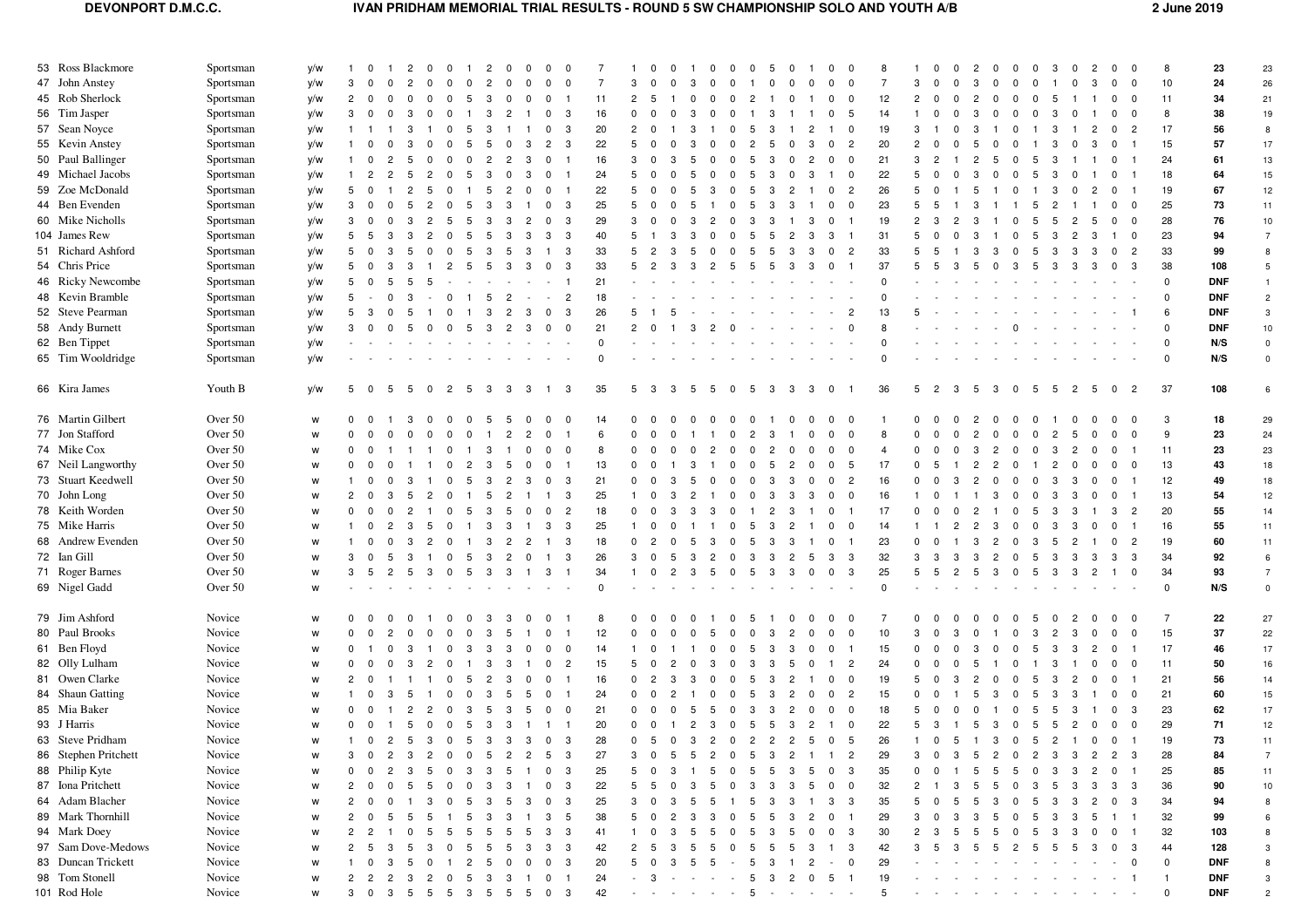## **DEVONPORT D.M.C.C. IVAN PRIDHAM MEMORIAL TRIAL RESULTS - ROUND 5 SW CHAMPIONSHIP SOLO AND YOUTH A/B 2 June 2019**

| 53 Ross Blackmore    | Sportsman | y/w |                  | - 0                      | 2                    | n                       | 0                       | 2                | n              | $\Omega$       | $\Omega$                         |          |                | $\Omega$            |                |                     | - 0            | -5<br>- 0        | - 0            |                              | 0<br>0                                 |                |                |                      |                |                               | $\Omega$       | -3             | 0<br>-2                                   | $\Omega$                |                          | 8              | 23         | 23                  |
|----------------------|-----------|-----|------------------|--------------------------|----------------------|-------------------------|-------------------------|------------------|----------------|----------------|----------------------------------|----------|----------------|---------------------|----------------|---------------------|----------------|------------------|----------------|------------------------------|----------------------------------------|----------------|----------------|----------------------|----------------|-------------------------------|----------------|----------------|-------------------------------------------|-------------------------|--------------------------|----------------|------------|---------------------|
| 47 John Anstey       | Sportsman | y/w | 3                |                          |                      |                         |                         |                  |                | $\Omega$       | $\Omega$                         | 7        | 3              |                     |                |                     |                |                  |                |                              | $\mathbf 0$<br>0                       | $\overline{7}$ | з              |                      |                |                               |                |                |                                           | 0                       | $\overline{\mathbf{0}}$  | 10             | 24         | 26                  |
| 45 Rob Sherlock      | Sportsman | y/w | $\overline{2}$   | $\overline{\mathbf{0}}$  | $\Omega$<br>$\Omega$ | n                       | $\Omega$                | 5<br>3           | $\Omega$       | $^{\circ}$     | $^{\circ}$                       | 11       | $\overline{2}$ | - 5                 |                |                     | $\Omega$       | $\mathcal{P}$    | $\Omega$       |                              | $^{\circ}$<br>- 0                      | 12             | $\overline{2}$ |                      | 2              | $\Omega$                      | $\Omega$       | -5             |                                           | $\mathbf 0$             | $\overline{\mathbf{0}}$  | 11             | 34         | 21                  |
| 56 Tim Jasper        | Sportsman | y/w | 3                |                          |                      |                         |                         |                  |                |                | 3<br>$\Omega$                    | 16       |                |                     |                |                     |                |                  |                |                              | -5<br>$\mathbf 0$                      | 14             |                |                      |                |                               |                |                |                                           | $\mathbf{0}$            | - 0                      | 8              | 38         | 19                  |
| 57 Sean Noyce        | Sportsman | y/w |                  |                          |                      |                         |                         |                  |                |                | 3                                | 20       | $\overline{2}$ | - 0                 |                |                     |                |                  |                |                              | $\overline{\mathbf{0}}$                | 19             | 3              |                      |                |                               |                | з              |                                           | 0                       | $\overline{2}$           | 17             | 56         | 8                   |
| 55 Kevin Anstey      | Sportsman | y/w |                  |                          |                      |                         |                         | -5               |                | 3              | 3<br>2                           | 22       | 5              | $^{\circ}$          |                |                     |                | 2<br>5           |                | 3                            | $\overline{c}$<br>0                    | 20             |                |                      |                |                               |                | 3              | -3<br>0                                   | $\mathbf 0$             |                          | 15             | 57         | 17                  |
| 50 Paul Ballinger    | Sportsman | y/w |                  | 0                        |                      |                         |                         |                  | 2              | -3             | $\Omega$                         | 16       | 3              | $^{\circ}$          |                |                     |                | -5<br>3          |                | 2                            | $\mathbf 0$<br>$\mathbf 0$             | 21             | 3              |                      |                | -5                            | -5             | -3             |                                           | 0                       |                          | 24             | 61         | 13                  |
| 49 Michael Jacobs    | Sportsman | y/w |                  | $\overline{2}$           |                      |                         |                         | -5<br>-3         | $\Omega$       | 3              | $\Omega$                         | 24       | 5              | $\mathbf 0$         |                |                     |                |                  |                | 3                            | $\overline{\mathbf{0}}$<br>-1          | 22             | 5              |                      | з              | $\Omega$                      | 5              | -3             | -0                                        | 0                       |                          | 18             | 64         | 15                  |
| 59 Zoe McDonald      | Sportsman | y/w | 5                |                          |                      |                         |                         | -5               | $\overline{2}$ | $\Omega$       |                                  | 22       | 5              | $\mathbf 0$         |                |                     |                |                  |                |                              | $\overline{c}$<br>$\mathbf 0$          | 26             | 5              |                      | 5              |                               |                | -3             |                                           | $\mathbf 0$             |                          | 19             | 67         | 12                  |
| 44 Ben Evenden       | Sportsman | y/w | 3                | - 0                      |                      |                         |                         | -5<br>-3         | з              |                | 3<br>$\Omega$                    | 25       | 5              | $\mathbf{0}$        | 5              |                     |                | 3<br>.5          |                |                              | $\mathbf 0$<br>0                       | 23             | 5              |                      |                |                               | 5              | 2              |                                           | $\mathbf 0$             | $\overline{\mathbf{0}}$  | 25             | 73         | 11                  |
| 60 Mike Nicholls     | Sportsman | y/w | 3                |                          |                      |                         |                         |                  |                | $\overline{2}$ | 3                                | 29       | 3              | $\mathbf 0$         |                |                     |                |                  |                | 3                            | 0                                      | 19             |                |                      |                |                               | 5              |                |                                           | $\mathbf 0$             | $\overline{\mathbf{0}}$  | 28             | 76         | $10\,$              |
| 104 James Rew        | Sportsman | y/w | 5                | -5                       |                      |                         |                         |                  |                | 3              | 3<br>-3                          | 40       | 5              |                     |                |                     |                |                  |                | 3                            | 3                                      | 31             |                |                      |                |                               | -5             | -3             |                                           | -1                      | $\overline{\mathbf{0}}$  | 23             | 94         | $\overline{7}$      |
| 51 Richard Ashford   | Sportsman | y/w | 5                |                          |                      |                         |                         |                  | 5              | -3             | 3                                | 33       | 5              |                     |                |                     |                |                  |                |                              | $\overline{c}$<br>0                    | 33             |                |                      |                |                               | -5             | -3             |                                           | $^{\circ}$              | $\overline{2}$           | 33             | 99         | 8                   |
| 54 Chris Price       | Sportsman | y/w | 5                | 0                        |                      |                         | 2                       | -5<br>5          | 3              | 3              | 3<br>$^{\circ}$                  | 33       | 5              | $\overline{2}$      |                | 3<br>$\overline{2}$ | .5             | 5<br>-5          | -3             | 3                            | $\mathbf{0}$<br>- 1                    | 37             | 5              | -3                   | 5              | $\Omega$<br>3                 | 5              | - 3            | -3<br>3                                   | $\overline{0}$          | $_{3}$                   | 38             | 108        | 5                   |
| 46 Ricky Newcombe    | Sportsman | y/w | 5                |                          |                      |                         |                         |                  |                |                |                                  | 21       |                |                     |                |                     |                |                  |                |                              |                                        |                |                |                      |                |                               |                |                |                                           |                         |                          | $\mathbf 0$    | <b>DNF</b> | $\overline{1}$      |
| 48 Kevin Bramble     | Sportsman |     | 5                |                          |                      |                         |                         |                  | 2              |                | $\overline{2}$                   | 18       |                |                     |                |                     |                |                  |                |                              |                                        |                |                |                      |                |                               |                |                |                                           |                         |                          | $\mathbf 0$    | <b>DNF</b> | $\overline{2}$      |
| 52 Steve Pearman     | Sportsman | y/w | 5                | - 3                      |                      |                         |                         |                  |                | -3             | 3<br>$^{\circ}$                  | 26       | 5.             |                     |                |                     |                |                  |                |                              | $\overline{2}$                         | 13             | 5              |                      |                |                               |                |                |                                           |                         | $\overline{1}$           | 6              | <b>DNF</b> | 3                   |
| 58 Andy Burnett      |           | y/w | 3                |                          |                      |                         |                         |                  | $\overline{2}$ | -3             | 0<br>$\Omega$                    | 21       | $\overline{2}$ |                     |                |                     |                |                  |                |                              | $\Omega$                               |                |                |                      |                |                               |                |                |                                           |                         |                          | $\mathbf 0$    | <b>DNF</b> | 10                  |
| 62 Ben Tippet        | Sportsman | y/w |                  |                          |                      |                         |                         |                  |                |                |                                  | $\Omega$ |                |                     |                |                     |                |                  |                |                              |                                        | $\Omega$       |                |                      |                |                               |                |                |                                           |                         |                          | $\mathbf 0$    |            |                     |
|                      | Sportsman | y/w |                  |                          |                      |                         |                         |                  |                |                |                                  |          |                |                     |                |                     |                |                  |                |                              |                                        |                |                |                      |                |                               |                |                |                                           |                         |                          |                | N/S        | $\mathsf{O}\xspace$ |
| 65 Tim Wooldridge    | Sportsman | y/w |                  |                          |                      |                         |                         |                  |                |                |                                  | $\Omega$ |                |                     |                |                     |                |                  |                |                              |                                        |                |                |                      |                |                               |                |                |                                           |                         |                          | $\mathbf 0$    | N/S        | $\mathsf 0$         |
| 66 Kira James        | Youth B   | y/w | 5                | $\overline{\phantom{0}}$ | - 5<br>5             | -0                      | $\overline{2}$          | 5<br>-3          | -3             | 3              | 3                                | 35       | 5              | -3                  | -3<br>5        | 5                   | $^{\circ}$     | - 3<br>5         | -3             | -3                           | $\overline{\mathbf{0}}$                | 36             | 5              | $\overline{2}$<br>-3 | -5             | -3<br>$^{\circ}$              | 5              | 5              | $\overline{c}$<br>5                       | $\overline{\mathbf{0}}$ | $\overline{c}$           | 37             | 108        | 6                   |
| 76 Martin Gilbert    | Over 50   | W   | $\Omega$         | - 0                      |                      |                         |                         | -5               |                | $\Omega$       | $\Omega$                         | 14       | $\Omega$       |                     |                | $\Omega$            |                | $\Omega$         |                |                              | - 0<br>0                               |                |                |                      |                |                               | n              |                |                                           | $\Omega$                | 0                        | 3              | 18         | 29                  |
| 77 Jon Stafford      | Over 50   | W   | $\mathbf 0$      | $\overline{0}$           |                      |                         |                         | $\Omega$         | $\overline{c}$ | $\overline{c}$ | $\Omega$                         | 6        | $\mathbf{0}$   | $\mathbf 0$         |                |                     |                |                  |                | $\Omega$                     | $\mathbf 0$<br>0                       | 8              | $\Omega$       |                      |                | $\Omega$                      | $^{\circ}$     | $\overline{2}$ | 5                                         | $\mathbf 0$             | $\overline{\mathbf{0}}$  | 9              | 23         | 24                  |
| 74 Mike Cox          | Over 50   | W   | $\mathbf 0$      | - 0                      |                      |                         | 0                       | -3               |                | $\Omega$       | $\Omega$<br>$^{\circ}$           | 8        | $^{\circ}$     | $^{\circ}$          |                |                     |                |                  |                |                              | - 0<br>0                               |                |                |                      |                |                               | 0              | -3             | -2                                        | $^{\circ}$              |                          | 11             | 23         | 23                  |
| 67 Neil Langworthy   | Over 50   | W   | $\mathbf{0}$     | - 0                      |                      |                         |                         |                  | 5              | 0              |                                  | 13       | $^{\circ}$     |                     |                |                     |                |                  |                |                              | 5<br>$\mathbf 0$                       | 17             |                |                      |                | 2                             |                | 2              |                                           | $\mathbf 0$             | $\overline{\mathbf{0}}$  | 13             | 43         | $18\,$              |
| 73 Stuart Keedwell   | Over 50   | W   | $\mathbf{1}$     | $\mathbf 0$              | $\Omega$<br>3        |                         | $\Omega$                | 5<br>3           | 2              | -3             | 3<br>$\mathbf 0$                 | 21       | $\mathbf{0}$   | $\mathbf 0$         |                |                     |                |                  | 3              | $\Omega$                     | $\overline{2}$<br>$\mathbf 0$          | 16             | $\Omega$       |                      | 2              | $\Omega$                      | $^{\circ}$     | -3             | -3<br>$\mathbf 0$                         | $\mathbf 0$             |                          | 12             | 49         | 18                  |
| 70 John Long         | Over 50   | W   | 2                |                          |                      |                         |                         | -5               |                |                | 3                                | 25       |                | $^{\circ}$          |                |                     |                | 3                |                | 3                            | $\overline{\mathbf{0}}$<br>$\mathbf 0$ | 16             |                |                      |                |                               |                | -3             |                                           | $^{\circ}$              |                          | 13             | 54         | 12                  |
| 78 Keith Worden      | Over 50   | W   | $\mathbf 0$      | - 0                      |                      |                         | n                       | -5<br>-3         | 5              | $\Omega$       | $\overline{2}$<br>$\Omega$       | 18       | $\mathbf{0}$   | $\Omega$            |                | 3                   |                |                  | з              |                              | $\mathbf 0$                            | 17             |                |                      |                |                               | -5             | -3             |                                           | 3                       | $\overline{2}$           | 20             | 55         | 14                  |
| 75 Mike Harris       | Over 50   | W   |                  | 0                        | -2<br>-3             | -5                      | $\Omega$                | 3                | -3             |                | 3<br>3                           | 25       |                | $\mathbf 0$         |                |                     |                | 5<br>- 3         | 2              |                              | $\mathbf 0$<br>$\overline{\mathbf{0}}$ | 14             |                |                      | 2              | -3                            | $\Omega$       | -3             | -3<br>- 0                                 | $\mathbf{0}$            |                          | 16             | 55         | 11                  |
| 68 Andrew Evenden    | Over 50   | W   |                  |                          |                      |                         |                         |                  |                | $\overline{2}$ | 3                                | 18       | $^{\circ}$     | $\overline{2}$      |                |                     |                |                  |                |                              | $\mathbf 0$                            | 23             |                |                      |                |                               | 3              |                |                                           | $\mathbf 0$             | $\overline{2}$           | 19             | 60         | 11                  |
| 72 Ian Gill          | Over 50   | W   | 3                |                          |                      |                         | - ( )                   | -5<br>-3         | 2              | n              | 3                                | 26       | 3              | $\Omega$            |                |                     |                | з                | 2              | .5                           | 3<br>3                                 | 32             | 3              |                      |                | 2                             | 5              | -3             | -3<br>-3                                  | 3                       | - 3                      | 34             | 92         | 6                   |
| 71 Roger Barnes      | Over 50   | W   | 3                | - 5                      | -5                   | -3                      | $\Omega$                | -5<br>-3         | -3             |                | 3                                | 34       |                | $\mathbf 0$         | 3              | - 5                 | $^{\circ}$     | - 5<br>-3        | -3             | $\overline{\mathbf{0}}$<br>0 | $\mathbf{3}$                           | 25             | 5              |                      | 5              | -3                            | 5              | - 3            | 3<br>$\overline{2}$                       | $\overline{1}$          | $\overline{\mathbf{0}}$  | 34             | 93         | $\overline{7}$      |
| 69 Nigel Gadd        | Over 50   | W   |                  |                          |                      |                         |                         |                  |                |                |                                  | $\Omega$ |                |                     |                |                     |                |                  |                |                              |                                        | $\Omega$       |                |                      |                |                               |                |                |                                           |                         |                          | $\mathbf 0$    | N/S        | $\mathsf 0$         |
|                      |           |     |                  |                          |                      |                         |                         |                  |                |                |                                  |          |                |                     |                |                     |                |                  |                |                              |                                        |                |                |                      |                |                               |                |                |                                           |                         |                          |                |            |                     |
| 79 Jim Ashford       | Novice    | W   | 0                |                          |                      |                         | 0                       | -3               |                | 0              |                                  | 8        | <sup>0</sup>   |                     |                |                     |                |                  | -0             |                              | $\mathbf 0$<br>- 0                     |                |                |                      |                |                               | -5             |                |                                           | $^{\circ}$              | $\overline{\mathbf{0}}$  | $\overline{7}$ | 22         | 27                  |
| 80 Paul Brooks       | Novice    | W   |                  |                          |                      |                         |                         |                  |                |                |                                  | 12       |                |                     |                |                     |                |                  |                |                              | $\Omega$<br>0                          | 10             |                |                      |                |                               | з              | 2              |                                           | 0                       | $\overline{\mathbf{0}}$  | 15             | 37         | 22                  |
| 61 Ben Floyd         | Novice    | W   | $\mathbf 0$      |                          | $\Omega$<br>3        |                         | $\Omega$                | 3<br>3           | 3              | $\mathbf 0$    | $\mathbf 0$<br>0                 | 14       |                | $\mathbf 0$         |                |                     |                | -5<br>3          | 3              | $\Omega$                     | $\mathbf 0$                            | 15             | $\Omega$       |                      |                | $\Omega$                      | 5              | 3              | 3<br>$\overline{2}$                       | $\overline{0}$          |                          | 17             | 46         | $17\,$              |
| 82 Olly Lulham       | Novice    | W   | 0                |                          |                      |                         |                         | -3               |                |                | $\overline{c}$<br>$^{\circ}$     | 15       | 5              |                     |                |                     |                |                  |                |                              | $\overline{2}$<br>$\mathbf{1}$         | 24             |                |                      |                |                               |                | З              |                                           | $^{\circ}$              | $\overline{\phantom{0}}$ | 11             | 50         | 16                  |
| 81 Owen Clarke       | Novice    | W   | 2                |                          |                      |                         |                         |                  |                |                |                                  | 16       | $^{\circ}$     |                     |                |                     |                |                  |                |                              | $\mathbf 0$<br>$\mathbf 0$             | 19             | 5              |                      |                |                               | 5              |                |                                           | $^{\circ}$              |                          | 21             | 56         | $14$                |
| 84 Shaun Gatting     | Novice    | W   | $\mathbf{1}$     | $\overline{\mathbf{0}}$  | 3<br>-5              |                         | $\Omega$                | $^{\circ}$<br>-3 | -5             | 5              | $^{\circ}$                       | 24       | $\mathbf{0}$   | $\overline{0}$      |                | $^{\circ}$          | $^{\circ}$     | 5<br>-3          | $\overline{2}$ | $\mathbf 0$                  | $\overline{0}$<br>$\overline{2}$       | 15             | 0              | $\Omega$             | 5              | -3<br>$\Omega$                | 5              | -3             | 3                                         | $\mathbf 0$             | $\overline{\mathbf{0}}$  | 21             | 60         | 15                  |
| 85 Mia Baker         | Novice    | w   | $\mathbf 0$      |                          |                      | 2                       |                         | 3                | -3             | 5              | 0<br>$\mathbf 0$                 | 21       | $\mathbf{0}$   | $^{\circ}$          |                | -5                  |                | 3<br>3           |                |                              | $\mathbf 0$<br>$\mathbf 0$             | 18             | 5              |                      |                |                               | 5              | -5             | 3                                         | $\mathbf{0}$            | - 3                      | 23             | 62         | 17                  |
| 93 J Harris          | Novice    | W   | $\mathbf 0$      | $\overline{\mathbf{0}}$  | $\overline{1}$<br>5  | $\overline{\mathbf{0}}$ | $\overline{\mathbf{0}}$ | 5 <sub>3</sub>   | 3              | $\overline{1}$ | $\overline{1}$<br>$\overline{1}$ | 20       |                | $0 \quad 0 \quad 1$ | $\overline{c}$ | $\mathbf{3}$        | 0 <sub>5</sub> | 5                | - 3            | $\overline{c}$               | $1 \quad 0$                            | 22             | 5              | 3<br>$\overline{1}$  | 5              | $\mathbf{3}$<br>$\mathbf 0$   | 5              | $5^{\circ}$    | $\overline{c}$<br>$\overline{\mathbf{0}}$ | $\overline{\mathbf{0}}$ | $\overline{\phantom{0}}$ | 29             | 71         | 12                  |
| 63 Steve Pridham     | Novice    | W   | $\mathbf{1}$     |                          |                      |                         |                         | 0 2 5 3 0 5 3    |                | 3 3 0          | $\mathbf{3}$                     | 28       |                |                     |                | 0 5 0 3 2 0 2 2 2   |                |                  |                | 5 0                          | $5\overline{5}$                        | 26             |                | $1 \quad 0 \quad 5$  | $\overline{1}$ | 3 0 5 2 1                     |                |                |                                           | $0\quad 0$              |                          | 19             | 73         | 11                  |
| 86 Stephen Pritchett | Novice    | W   | 3                | $\overline{\mathbf{0}}$  | $\overline{c}$<br>3  | $\overline{2}$          | $\overline{0}$          | $\mathbf 0$<br>5 | $\overline{c}$ | $\overline{c}$ | $\mathbf{3}$<br>-5               | 27       | 3              | $\mathbf 0$         | -5             | $\overline{c}$<br>5 | $\mathbf 0$    | 3<br>5           | $\overline{c}$ | $\overline{1}$               | $\overline{2}$<br>$\mathbf{1}$         | 29             | 3              | 3<br>$\Omega$        | 5              | $\overline{c}$<br>$\mathbf 0$ | $\overline{2}$ | -3             | 3<br>$\overline{c}$                       | $\overline{2}$          | - 3                      | 28             | 84         |                     |
| 88 Philip Kyte       | Novice    | W   |                  |                          |                      |                         |                         | 3<br>-3          |                |                | 3                                | 25       | 5              | $\Omega$            |                |                     |                |                  |                |                              | 3<br>$\Omega$                          | 35             | 0              |                      |                |                               |                |                | $\overline{2}$                            | 0                       |                          | 25             | 85         | 11                  |
| 87 Iona Pritchett    | Novice    | W   |                  |                          |                      |                         | 0                       | $\mathbf 0$<br>3 | 3              |                | 3<br>$\mathbf{0}$                | 22       | 5              | - 5                 |                | 5                   |                | 3<br>-3          | -3             | 5                            | 0<br>$\bf{0}$                          | 32             | 2              |                      |                | 5                             | -3             | 5              | -3<br>3                                   | 3                       | - 3                      | 36             | 90         | $10\,$              |
| 64 Adam Blacher      | Novice    | W   | $\overline{2}$   | - 0                      |                      | 3                       | $\Omega$                | 5<br>3           | 5              | -3             | 3<br>$\bf{0}$                    | 25       | 3              | $^{\circ}$          | 5              | 5                   |                | 3<br>-5          | 3              |                              | 3<br>3                                 | 35             | 5              |                      |                | 3                             | 5              | 3              | $\mathbf{2}$<br>-3                        | $\mathbf 0$             | $_{3}$                   | 34             | 94         | 8                   |
| 89 Mark Thornhill    | Novice    | W   | $\overline{2}$   | $\overline{\mathbf{0}}$  |                      |                         |                         | 5<br>-3          | 3              |                | 3<br>5                           | 38       | 5              | $\mathbf 0$         |                | З                   |                | 5                | -3             | $\overline{c}$               | 0                                      | 29             | 3              |                      |                | 5                             | 5              | 3              | 3<br>5                                    | - 1                     | $\overline{1}$           | 32             | 99         | 6                   |
| 94 Mark Doey         | Novice    | W   | 2                | -2                       |                      |                         | $\mathbf b$             | 5<br>-5          | 5              | 5              | 3<br>3                           | 41       |                | $\mathbf 0$         |                | ь                   |                | 3<br>$\mathbf b$ | -5             | $\mathbf 0$                  | 3<br>$\mathbf 0$                       | 30             |                |                      |                | b                             | 5              | -3             | -3                                        | $\mathbf{0}$            | $\overline{\phantom{1}}$ | 32             | 103        | 8                   |
| 97 Sam Dove-Medows   | Novice    | W   | 2                |                          |                      |                         |                         |                  |                |                | 3                                | 42       |                |                     |                |                     |                |                  |                |                              | 3                                      | 42             |                |                      |                |                               |                |                |                                           | $^{\circ}$              | - 3                      | 44             | 128        | 3                   |
| 83 Duncan Trickett   | Novice    |     |                  | $\mathbf 0$              | -3                   |                         |                         | 2<br>5           | 0              | 0              | 3<br>$\Omega$                    | 20       | 5              |                     |                |                     |                |                  |                |                              | $\mathbf 0$                            | 29             |                |                      |                |                               |                |                |                                           |                         | $\mathbf 0$              | $\mathsf 0$    | <b>DNF</b> | 8                   |
| 98 Tom Stonell       | Novice    | W   |                  |                          |                      |                         |                         |                  |                |                |                                  | 24       |                | -3                  |                |                     |                | 3<br>5           | 2              | 0                            | 5<br>$\overline{1}$                    | 19             |                |                      |                |                               |                |                |                                           |                         |                          |                | <b>DNF</b> | 3                   |
| 101 Rod Hole         | Novice    | W   | 2<br>$3 \quad 0$ | $\overline{c}$           |                      |                         |                         | 5<br>-3          | З              |                | $\mathbf{0}$<br>3                | 42       |                | $\sim 100$          |                |                     |                | .5               |                |                              |                                        | 5              |                |                      |                |                               |                |                |                                           |                         |                          | $\mathsf 0$    | <b>DNF</b> | $\overline{c}$      |
|                      |           | W   |                  |                          | - 3<br>5             | - 5                     | -5                      | 3<br>-5          | 5              | 5              | $\mathbf 0$                      |          |                |                     |                |                     |                |                  |                |                              |                                        |                |                |                      |                |                               |                |                |                                           |                         |                          |                |            |                     |